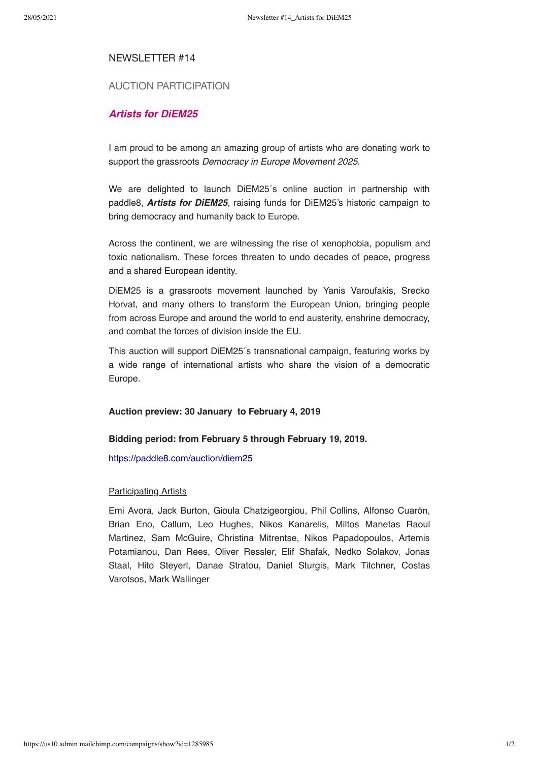### NEWSLETTER #14

# AUCTION PARTICIPATION

## Artists for DiEM25

I am proud to be among an amazing group of artists who are donating work to support the grassroots Democracy in Europe Movement 2025.

We are delighted to launch DiEM25´s online auction in partnership with paddle8, Artists for DiEM25, raising funds for DiEM25's historic campaign to bring democracy and humanity back to Europe.

Across the continent, we are witnessing the rise of xenophobia, populism and toxic nationalism. These forces threaten to undo decades of peace, progress and a shared European identity.

DiEM25 is a grassroots movement launched by Yanis Varoufakis, Srecko Horvat, and many others to transform the European Union, bringing people from across Europe and around the world to end austerity, enshrine democracy, and combat the forces of division inside the EU.

This auction will support DiEM25´s transnational campaign, featuring works by a wide range of international artists who share the vision of a democratic Europe.

#### Auction preview: 30 January to February 4, 2019

#### Bidding period: from February 5 through February 19, 2019.

https://paddle8.com/auction/diem25

#### Participating Artists

Emi Avora, Jack Burton, Gioula Chatzigeorgiou, Phil Collins, Alfonso Cuarón, Brian Eno, Callum, Leo Hughes, Nikos Kanarelis, Miltos Manetas Raoul Martinez, Sam McGuire, Christina Mitrentse, Nikos Papadopoulos, Artemis Potamianou, Dan Rees, Oliver Ressler, Elif Shafak, Nedko Solakov, Jonas Staal, Hito Steyerl, Danae Stratou, Daniel Sturgis, Mark Titchner, Costas Varotsos, Mark Wallinger